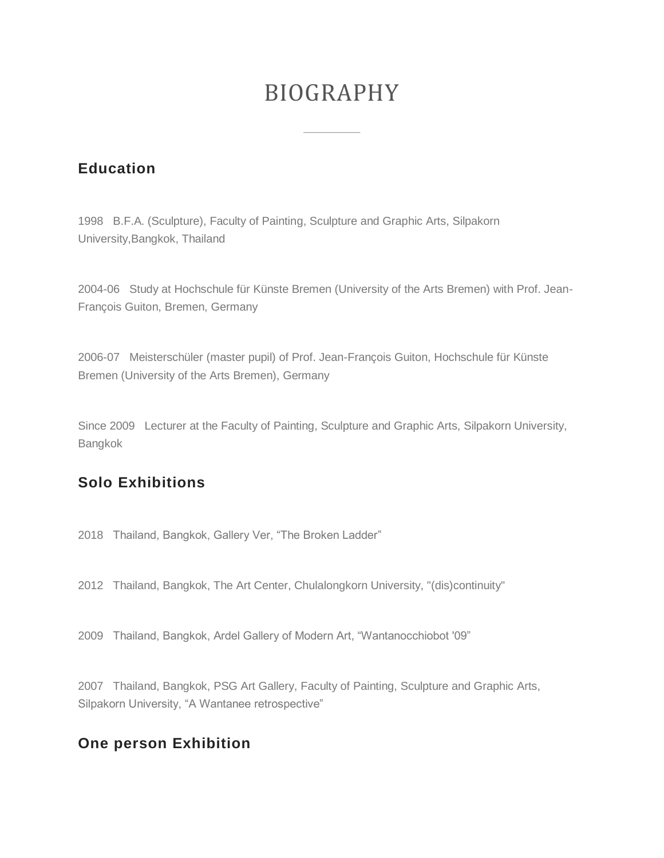# BIOGRAPHY

## **Education**

1998 B.F.A. (Sculpture), Faculty of Painting, Sculpture and Graphic Arts, Silpakorn University,Bangkok, Thailand

2004-06 Study at Hochschule für Künste Bremen (University of the Arts Bremen) with Prof. Jean-François Guiton, Bremen, Germany

2006-07 Meisterschüler (master pupil) of Prof. Jean-François Guiton, Hochschule für Künste Bremen (University of the Arts Bremen), Germany

Since 2009 Lecturer at the Faculty of Painting, Sculpture and Graphic Arts, Silpakorn University, Bangkok

## **Solo Exhibitions**

2018 Thailand, Bangkok, Gallery Ver, "The Broken Ladder"

2012 Thailand, Bangkok, The Art Center, Chulalongkorn University, "(dis)continuity"

2009 Thailand, Bangkok, Ardel Gallery of Modern Art, "Wantanocchiobot '09"

2007 Thailand, Bangkok, PSG Art Gallery, Faculty of Painting, Sculpture and Graphic Arts, Silpakorn University, "A Wantanee retrospective"

#### **One person Exhibition**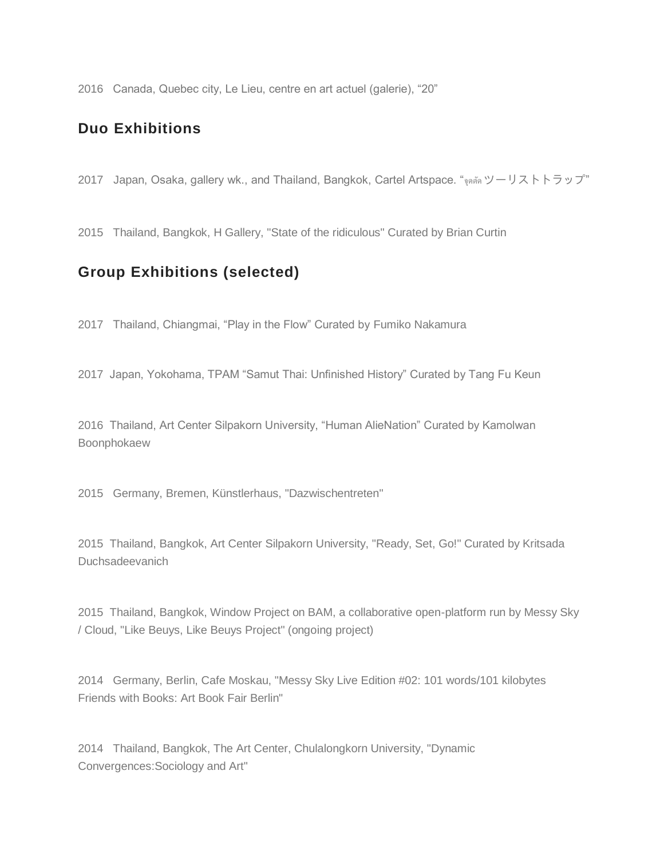2016 Canada, Quebec city, Le Lieu, centre en art actuel (galerie), "20"

#### **Duo Exhibitions**

2017 Japan, Osaka, gallery wk., and Thailand, Bangkok, Cartel Artspace. "จุดตัด ツーリストトラップ"

2015 Thailand, Bangkok, H Gallery, "State of the ridiculous" Curated by Brian Curtin

### **Group Exhibitions (selected)**

2017 Thailand, Chiangmai, "Play in the Flow" Curated by Fumiko Nakamura

2017 Japan, Yokohama, TPAM "Samut Thai: Unfinished History" Curated by Tang Fu Keun

2016 Thailand, Art Center Silpakorn University, "Human AlieNation" Curated by Kamolwan Boonphokaew

2015 Germany, Bremen, Künstlerhaus, "Dazwischentreten"

2015 Thailand, Bangkok, Art Center Silpakorn University, "Ready, Set, Go!" Curated by Kritsada Duchsadeevanich

2015 Thailand, Bangkok, Window Project on BAM, a collaborative open-platform run by Messy Sky / Cloud, "Like Beuys, Like Beuys Project" (ongoing project)

2014 Germany, Berlin, Cafe Moskau, "Messy Sky Live Edition #02: 101 words/101 kilobytes Friends with Books: Art Book Fair Berlin"

2014 Thailand, Bangkok, The Art Center, Chulalongkorn University, "Dynamic Convergences:Sociology and Art"